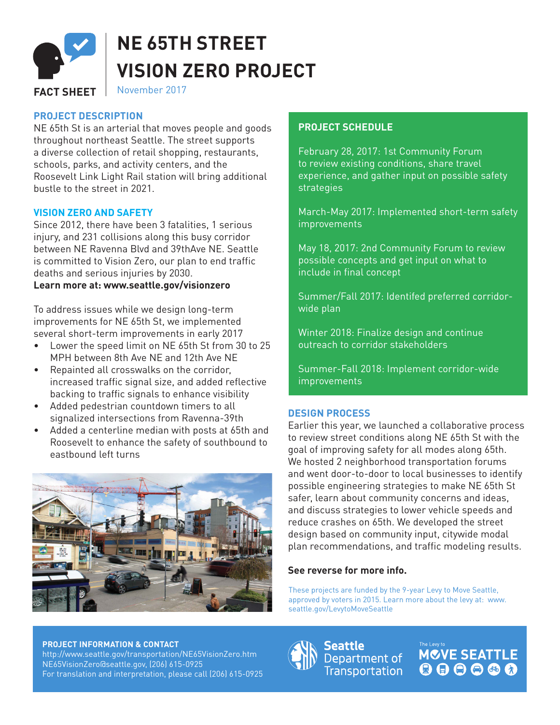

# **NE 65TH STREET VISION ZERO PROJECT**

# FACT SHEET | November 2017

# **PROJECT DESCRIPTION**

NE 65th St is an arterial that moves people and goods throughout northeast Seattle. The street supports a diverse collection of retail shopping, restaurants, schools, parks, and activity centers, and the Roosevelt Link Light Rail station will bring additional bustle to the street in 2021.

## **VISION ZERO AND SAFETY**

Since 2012, there have been 3 fatalities, 1 serious injury, and 231 collisions along this busy corridor between NE Ravenna Blvd and 39thAve NE. Seattle is committed to Vision Zero, our plan to end traffic deaths and serious injuries by 2030.

## **Learn more at: www.seattle.gov/visionzero**

To address issues while we design long-term improvements for NE 65th St, we implemented several short-term improvements in early 2017

- Lower the speed limit on NE 65th St from 30 to 25 MPH between 8th Ave NE and 12th Ave NE
- Repainted all crosswalks on the corridor, increased traffic signal size, and added reflective backing to traffic signals to enhance visibility
- Added pedestrian countdown timers to all signalized intersections from Ravenna-39th
- Added a centerline median with posts at 65th and Roosevelt to enhance the safety of southbound to eastbound left turns



# **PROJECT SCHEDULE**

February 28, 2017: 1st Community Forum to review existing conditions, share travel experience, and gather input on possible safety **strategies** 

March-May 2017: Implemented short-term safety improvements

May 18, 2017: 2nd Community Forum to review possible concepts and get input on what to include in final concept

Summer/Fall 2017: Identifed preferred corridorwide plan

Winter 2018: Finalize design and continue outreach to corridor stakeholders

Summer-Fall 2018: Implement corridor-wide improvements

## **DESIGN PROCESS**

Earlier this year, we launched a collaborative process to review street conditions along NE 65th St with the goal of improving safety for all modes along 65th. We hosted 2 neighborhood transportation forums and went door-to-door to local businesses to identify possible engineering strategies to make NE 65th St safer, learn about community concerns and ideas, and discuss strategies to lower vehicle speeds and reduce crashes on 65th. We developed the street design based on community input, citywide modal plan recommendations, and traffic modeling results.

## **See reverse for more info.**

These projects are funded by the 9-year Levy to Move Seattle, approved by voters in 2015. Learn more about the levy at: www. seattle.gov/LevytoMoveSeattle

#### **PROJECT INFORMATION & CONTACT**

http://www.seattle.gov/transportation/NE65VisionZero.htm NE65VisionZero@seattle.gov, (206) 615-0925 For translation and interpretation, please call [206] 615-0925 Seattle Department of **Transportation**  **MOVE SEATTLE**  $000000$